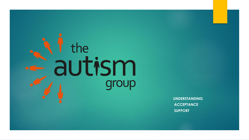# it the service of the service of the service of the service of the series of the series of the series of the series of the series of the series of the series of the series of the series of the series of the series of the s

**UNDERSTANDING ACCEPTANCE SUPPORT**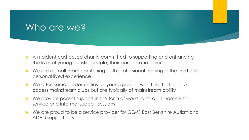### Who are we?

- A maidenhead based charity committed to supporting and enhancing the lives of young autistic people, their parents and carers
- We are a small team combining both professional training in the field and personal lived experience
- We offer social opportunities for young people who find it difficult to access mainstream clubs but are typically of mainstream ability
- We provide parent support in the form of workshops, a 1:1 home visit service and informal support sessions
- We are proud to be a service provider for GEMS East Berkshire Autism and ADHD support services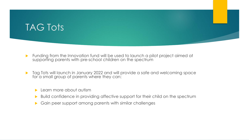# TAG Tots

- Funding from the Innovation fund will be used to launch a pilot project aimed at supporting parents with pre-school children on the spectrum
- **Tag Tots will launch in January 2022 and will provide a safe and welcoming space** for a small group of parents where they can:
	- **Learn more about autism**
	- Build confidence in providing affective support for their child on the spectrum
	- Gain peer support among parents with similar challenges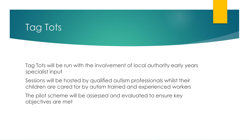# Tag Tots

Tag Tots will be run with the involvement of local authority early years specialist input

Sessions will be hosted by qualified autism professionals whilst their children are cared for by autism trained and experienced workers

The pilot scheme will be assessed and evaluated to ensure key objectives are met